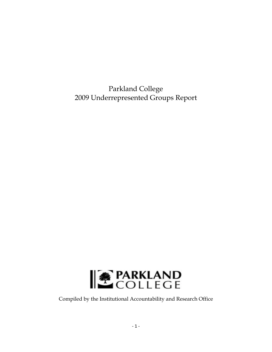Parkland College 2009 Underrepresented Groups Report



Compiled by the Institutional Accountability and Research Office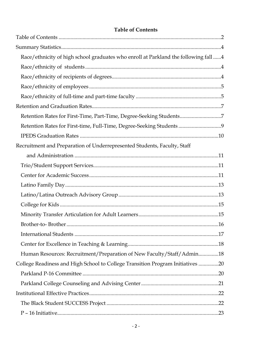| <b>Table of Contents</b> |  |
|--------------------------|--|
|--------------------------|--|

| Race/ethnicity of high school graduates who enroll at Parkland the following fall 4 |  |
|-------------------------------------------------------------------------------------|--|
|                                                                                     |  |
|                                                                                     |  |
|                                                                                     |  |
|                                                                                     |  |
|                                                                                     |  |
| Retention Rates for First-Time, Part-Time, Degree-Seeking Students7                 |  |
| Retention Rates for First-time, Full-Time, Degree-Seeking Students 9                |  |
|                                                                                     |  |
| Recruitment and Preparation of Underrepresented Students, Faculty, Staff            |  |
|                                                                                     |  |
|                                                                                     |  |
|                                                                                     |  |
|                                                                                     |  |
|                                                                                     |  |
|                                                                                     |  |
|                                                                                     |  |
|                                                                                     |  |
|                                                                                     |  |
|                                                                                     |  |
| Human Resources: Recruitment/Preparation of New Faculty/Staff/Admin18               |  |
| College Readiness and High School to College Transition Program Initiatives 20      |  |
|                                                                                     |  |
|                                                                                     |  |
|                                                                                     |  |
|                                                                                     |  |
|                                                                                     |  |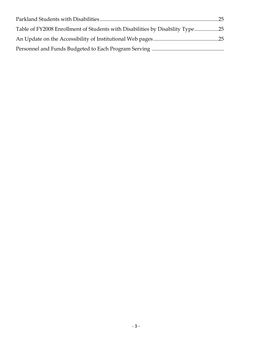| Table of FY2008 Enrollment of Students with Disabilities by Disability Type25 |  |
|-------------------------------------------------------------------------------|--|
|                                                                               |  |
|                                                                               |  |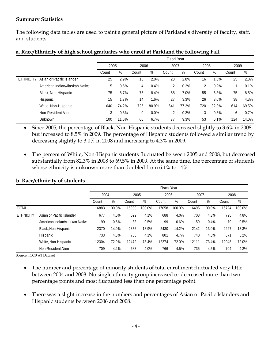### **Summary Statistics**

The following data tables are used to paint a general picture of Parkland's diversity of faculty, staff, and students.

|                  |                                | Fiscal Year |       |       |       |       |       |       |       |       |       |
|------------------|--------------------------------|-------------|-------|-------|-------|-------|-------|-------|-------|-------|-------|
|                  |                                | 2005        |       | 2006  |       | 2007  |       | 2008  |       | 2009  |       |
|                  |                                | Count       | %     | Count | %     | Count | %     | Count | %     | Count | %     |
| <b>ETHNICITY</b> | Asian or Pacific Islander      | 25          | 2.9%  | 18    | 2.0%  | 23    | 2.8%  | 16    | 1.8%  | 25    | 2.8%  |
|                  | American Indian/Alaskan Native | 5           | 0.6%  | 4     | 0.4%  | 2     | 0.2%  | 2     | 0.2%  |       | 0.1%  |
|                  | Black, Non-Hispanic            | 75          | 8.7%  | 75    | 8.4%  | 58    | 7.0%  | 55    | 6.3%  | 75    | 8.5%  |
|                  | Hispanic                       | 15          | 1.7%  | 14    | .6%   | 27    | 3.3%  | 26    | 3.0%  | 38    | 4.3%  |
|                  | White, Non-Hispanic            | 640         | 74.2% | 725   | 80.9% | 641   | 77.2% | 720   | 82.3% | 614   | 69.5% |
|                  | Non-Resident Alien             | 3           | 0.3%  | 0     | 0.0%  | 2     | 0.2%  | 3     | 0.3%  | 6     | 0.7%  |
|                  | Unknown                        | 100         | 11.6% | 60    | 6.7%  | 77    | 9.3%  | 53    | 6.1%  | 124   | 14.0% |

# **a. Race/Ethnicity of high school graduates who enroll at Parkland the following Fall**

• Since 2005, the percentage of Black, Non-Hispanic students decreased slightly to 3.6% in 2008, but increased to 8.5% in 2009. The percentage of Hispanic students followed a similar trend by decreasing slightly to 3.0% in 2008 and increasing to 4.3% in 2009.

• The percent of White, Non-Hispanic students fluctuated between 2005 and 2008, but decreased substantially from 82.3% in 2008 to 69.5% in 2009. At the same time, the percentage of students whose ethnicity is unknown more than doubled from 6.1% to 14%.

|                  |                                |       | <b>Fiscal Year</b> |       |        |       |        |       |        |       |        |
|------------------|--------------------------------|-------|--------------------|-------|--------|-------|--------|-------|--------|-------|--------|
|                  |                                | 2004  |                    | 2005  |        | 2006  |        | 2007  |        | 2008  |        |
|                  |                                | Count | %                  | Count | $\%$   | Count | $\%$   | Count | $\%$   | Count | %      |
| <b>TOTAL</b>     |                                | 16883 | 100.0%             | 16989 | 100.0% | 17058 | 100.0% | 16495 | 100.0% | 16724 | 100.0% |
| <b>ETHNICITY</b> | Asian or Pacific Islander      | 677   | 4.0%               | 692   | 4.1%   | 688   | 4.0%   | 708   | 4.3%   | 795   | 4.8%   |
|                  | American Indian/Alaskan Native | 90    | 0.5%               | 83    | 0.5%   | 99    | 0.6%   | 59    | 0.4%   | 79    | 0.5%   |
|                  | Black, Non-Hispanic            | 2370  | 14.0%              | 2356  | 13.9%  | 2430  | 14.2%  | 2142  | 13.0%  | 2227  | 13.3%  |
|                  | Hispanic                       | 733   | 4.3%               | 703   | 4.1%   | 801   | 4.7%   | 740   | 4.5%   | 871   | 5.2%   |
|                  | White, Non-Hispanic            | 12304 | 72.9%              | 12472 | 73.4%  | 12274 | 72.0%  | 12111 | 73.4%  | 12048 | 72.0%  |
|                  | Non-Resident Alien             | 709   | 4.2%               | 683   | 4.0%   | 766   | 4.5%   | 735   | 4.5%   | 704   | 4.2%   |

### **b. Race/ethnicity of students**

Source: ICCB A1 Dataset

- The number and percentage of minority students of total enrollment fluctuated very little between 2004 and 2008. No single ethnicity group increased or decreased more than two percentage points and most fluctuated less than one percentage point.
- There was a slight increase in the numbers and percentages of Asian or Pacific Islanders and Hispanic students between 2006 and 2008.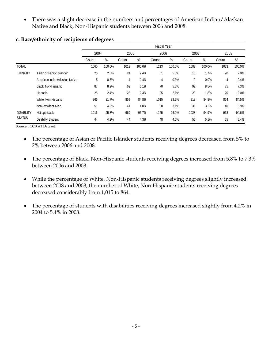• There was a slight decrease in the numbers and percentages of American Indian/Alaskan Native and Black, Non-Hispanic students between 2006 and 2008.

|                   |                                |       | <b>Fiscal Year</b> |       |        |                |        |       |        |       |        |
|-------------------|--------------------------------|-------|--------------------|-------|--------|----------------|--------|-------|--------|-------|--------|
|                   |                                | 2004  |                    | 2005  |        | 2006           |        | 2007  |        | 2008  |        |
|                   |                                | Count | $\%$               | Count | $\%$   | Count          | %      | Count | $\%$   | Count | %      |
| <b>TOTAL</b>      |                                | 1060  | 100.0%             | 1013  | 100.0% | 1213           | 100.0% | 1083  | 100.0% | 1023  | 100.0% |
| <b>ETHNICITY</b>  | Asian or Pacific Islander      | 26    | 2.5%               | 24    | 2.4%   | 61             | 5.0%   | 18    | 1.7%   | 20    | 2.0%   |
|                   | American Indian/Alaskan Native | 5     | 0.5%               | 4     | 0.4%   | $\overline{4}$ | 0.3%   | 0     | 0.0%   | 4     | 0.4%   |
|                   | Black, Non-Hispanic            | 87    | 8.2%               | 62    | 6.1%   | 70             | 5.8%   | 92    | 8.5%   | 75    | 7.3%   |
|                   | Hispanic                       | 25    | 2.4%               | 23    | 2.3%   | 25             | 2.1%   | 20    | 1.8%   | 20    | 2.0%   |
|                   | White, Non-Hispanic            | 866   | 81.7%              | 859   | 84.8%  | 1015           | 83.7%  | 918   | 84.8%  | 864   | 84.5%  |
|                   | Non-Resident Alien             | 51    | 4.8%               | 41    | 4.0%   | 38             | 3.1%   | 35    | 3.2%   | 40    | 3.9%   |
| <b>DISABILITY</b> | Not applicable                 | 1016  | 95.8%              | 969   | 95.7%  | 1165           | 96.0%  | 1028  | 94.9%  | 968   | 94.6%  |
| <b>STATUS</b>     | <b>Disability Student</b>      | 44    | 4.2%               | 44    | 4.3%   | 48             | 4.0%   | 55    | 5.1%   | 55    | 5.4%   |

#### **c. Race/ethnicity of recipients of degrees**

Source: ICCB A1 Dataset

- The percentage of Asian or Pacific Islander students receiving degrees decreased from 5% to 2% between 2006 and 2008.
- The percentage of Black, Non-Hispanic students receiving degrees increased from 5.8% to 7.3% between 2006 and 2008.
- While the percentage of White, Non-Hispanic students receiving degrees slightly increased between 2008 and 2008, the number of White, Non-Hispanic students receiving degrees decreased considerably from 1,015 to 864.
- The percentage of students with disabilities receiving degrees increased slightly from 4.2% in 2004 to 5.4% in 2008.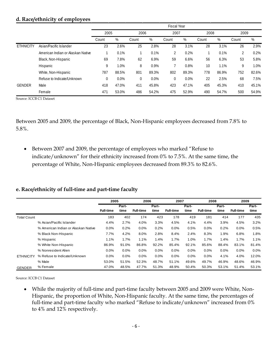#### **d. Race/ethnicity of employees**

|                  |                                   | <b>Fiscal Year</b> |         |       |         |             |       |       |       |                |       |
|------------------|-----------------------------------|--------------------|---------|-------|---------|-------------|-------|-------|-------|----------------|-------|
|                  |                                   | 2005               |         | 2006  |         | 2007        |       | 2008  |       | 2009           |       |
|                  |                                   | Count              | $\%$    | Count | %       | Count       | $\%$  | Count | %     | Count          | %     |
| <b>ETHNICITY</b> | Asian/Pacific Islander            | 23                 | 2.6%    | 25    | 2.8%    | 28          | 3.1%  | 28    | 3.1%  | 26             | 2.9%  |
|                  | American Indian or Alaskan Native |                    | 0.1%    |       | 0.1%    | 2           | 0.2%  |       | 0.1%  | $\overline{2}$ | 0.2%  |
|                  | Black, Non-Hispanic               | 69                 | 7.8%    | 62    | 6.9%    | 59          | 6.6%  | 56    | 6.3%  | 53             | 5.8%  |
|                  | Hispanic                          | 9                  | 1.0%    | 8     | 0.9%    |             | 0.8%  | 10    | 1.1%  | 9              | 1.0%  |
|                  | White, Non-Hispanic               | 787                | 88.5%   | 801   | 89.3%   | 802         | 89.3% | 778   | 86.9% | 752            | 82.6% |
|                  | Refuse to Indicate/Unknown        | 0                  | $0.0\%$ | 0     | $0.0\%$ | $\mathbf 0$ | 0.0%  | 22    | 2.5%  | 68             | 7.5%  |
| <b>GENDER</b>    | Male                              | 418                | 47.0%   | 411   | 45.8%   | 423         | 47.1% | 405   | 45.3% | 410            | 45.1% |
|                  | Female                            | 471                | 53.0%   | 486   | 54.2%   | 475         | 52.9% | 490   | 54.7% | 500            | 54.9% |

Source: ICCB C1 Dataset

Between 2005 and 2009, the percentage of Black, Non-Hispanic employees decreased from 7.8% to 5.8%.

• Between 2007 and 2009, the percentage of employees who marked "Refuse to indicate/unknown" for their ethnicity increased from 0% to 7.5%. At the same time, the percentage of White, Non-Hispanic employees decreased from 89.3% to 82.6%.

#### **e. Race/ethnicity of full-time and part-time faculty**

|                    |                                     | 2005             |       | 2006             |       | 2007             |       | 2008             |       | 2009             |       |
|--------------------|-------------------------------------|------------------|-------|------------------|-------|------------------|-------|------------------|-------|------------------|-------|
|                    |                                     |                  | Part- |                  | Part- | Part-            |       | Part-            |       |                  | Part- |
|                    |                                     | <b>Full-time</b> | time  | <b>Full-time</b> | time  | <b>Full-time</b> | time  | <b>Full-time</b> | time  | <b>Full-time</b> | time  |
| <b>Total Count</b> |                                     | 183              | 402   | 174              | 423   | 178              | 419   | 181              | 414   | 177              | 435   |
|                    | % Asian/Pacific Islander            | 4.4%             | 2.7%  | 4.0%             | 3.3%  | 4.5%             | 4.1%  | 4.4%             | 3.9%  | 4.5%             | 3.2%  |
|                    | % American Indian or Alaskan Native | $0.0\%$          | 0.2%  | 0.0%             | 0.2%  | $0.0\%$          | 0.5%  | $0.0\%$          | 0.2%  | $0.0\%$          | 0.5%  |
|                    | % Black Non-Hispanic                | 7.7%             | 4.2%  | 8.0%             | 2.8%  | 8.4%             | 2.4%  | 8.3%             | 1.9%  | 6.8%             | 1.8%  |
|                    | % Hispanic                          | 1.1%             | 1.7%  | 1.1%             | 1.4%  | 1.7%             | 1.0%  | 1.7%             | 1.4%  | 1.7%             | 1.1%  |
|                    | % White Non-Hispanic                | 86.9%            | 91.0% | 86.8%            | 92.2% | 85.4%            | 92.1% | 85.6%            | 88.4% | 83.1%            | 81.4% |
|                    | % Nonresident Alien                 | $0.0\%$          | 0.0%  | 0.0%             | 0.0%  | 0.0%             | 0.0%  | $0.0\%$          | 0.0%  | 0.0%             | 0.0%  |
| <b>ETHNICITY</b>   | % Refuse to Indicate/Unknown        | $0.0\%$          | 0.0%  | 0.0%             | 0.0%  | 0.0%             | 0.0%  | $0.0\%$          | 4.1%  | 4.0%             | 12.0% |
|                    | % Male                              | 53.0%            | 51.5% | 52.3%            | 48.7% | 51.1%            | 49.6% | 49.7%            | 46.9% | 48.6%            | 46.9% |
| <b>GENDER</b>      | % Female                            | 47.0%            | 48.5% | 47.7%            | 51.3% | 48.9%            | 50.4% | 50.3%            | 53.1% | 51.4%            | 53.1% |

Source: ICCB C1 Dataset

• While the majority of full-time and part-time faculty between 2005 and 2009 were White, Non-Hispanic, the proportion of White, Non-Hispanic faculty. At the same time, the percentages of full-time and part-time faculty who marked "Refuse to indicate/unknown" increased from 0% to 4% and 12% respectively.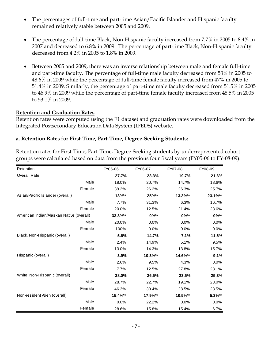- The percentages of full-time and part-time Asian/Pacific Islander and Hispanic faculty remained relatively stable between 2005 and 2009.
- The percentage of full-time Black, Non-Hispanic faculty increased from 7.7% in 2005 to 8.4% in 2007 and decreased to 6.8% in 2009. The percentage of part-time Black, Non-Hispanic faculty decreased from 4.2% in 2005 to 1.8% in 2009.
- Between 2005 and 2009, there was an inverse relationship between male and female full-time and part-time faculty. The percentage of full-time male faculty decreased from 53% in 2005 to 48.6% in 2009 while the percentage of full-time female faculty increased from 47% in 2005 to 51.4% in 2009. Similarly, the percentage of part-time male faculty decreased from 51.5% in 2005 to 46.9% in 2009 while the percentage of part-time female faculty increased from 48.5% in 2005 to 53.1% in 2009.

#### **Retention and Graduation Rates**

Retention rates were computed using the E1 dataset and graduation rates were downloaded from the Integrated Postsecondary Education Data System (IPEDS) website.

### **a. Retention Rates for First-Time, Part-Time, Degree-Seeking Students:**

Retention rates for First-Time, Part-Time, Degree-Seeking students by underrepresented cohort groups were calculated based on data from the previous four fiscal years (FY05-06 to FY-08-09).

| Retention                                | FY05-06  | FY06-07 | FY07-08 | FY08-09    |
|------------------------------------------|----------|---------|---------|------------|
| <b>Overall Rate</b>                      | 27.7%    | 23.3%   | 19.7%   | 21.6%      |
| Male                                     | 18.0%    | 20.7%   | 14.7%   | 18.6%      |
| Female                                   | 39.2%    | 26.2%   | 26.3%   | 25.7%      |
| Asian/Pacific Islander (overall)         | $13\%**$ | 25%**   | 13.3%** | 23.1%**    |
| Male                                     | 7.7%     | 31.3%   | 6.3%    | 16.7%      |
| Female                                   | 20.0%    | 12.5%   | 21.4%   | 28.6%      |
| American Indian/Alaskan Native (overall) | 33.3%**  | $0\%**$ | $0\%**$ | $0\%^{**}$ |
| Male                                     | 20.0%    | 0.0%    | 0.0%    | 0.0%       |
| Female                                   | 100%     | 0.0%    | 0.0%    | 0.0%       |
| Black, Non-Hispanic (overall)            | 5.6%     | 14.7%   | 7.1%    | 11.6%      |
| Male                                     | 2.4%     | 14.9%   | 5.1%    | 9.5%       |
| Female                                   | 13.0%    | 14.3%   | 13.8%   | 15.7%      |
| Hispanic (overall)                       | 3.9%     | 10.3%** | 14.6%** | 9.1%       |
| Male                                     | 2.6%     | 9.5%    | 4.3%    | 0.0%       |
| Female                                   | 7.7%     | 12.5%   | 27.8%   | 23.1%      |
| White, Non-Hispanic (overall)            | 38.0%    | 26.5%   | 23.5%   | 25.3%      |
| Male                                     | 28.7%    | 22.7%   | 19.1%   | 23.0%      |
| Female                                   | 46.3%    | 30.4%   | 28.5%   | 28.5%      |
| Non-resident Alien (overall)             | 15.4%**  | 17.9%** | 10.5%** | $5.3\%**$  |
| Male                                     | 0.0%     | 22.2%   | 0.0%    | 0.0%       |
| Female                                   | 28.6%    | 15.8%   | 15.4%   | 6.7%       |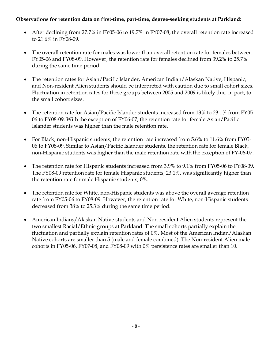# **Observations for retention data on first-time, part-time, degree-seeking students at Parkland:**

- After declining from 27.7% in FY05-06 to 19.7% in FY07-08, the overall retention rate increased to 21.6% in FY08-09.
- The overall retention rate for males was lower than overall retention rate for females between FY05-06 and FY08-09. However, the retention rate for females declined from 39.2% to 25.7% during the same time period.
- The retention rates for Asian/Pacific Islander, American Indian/Alaskan Native, Hispanic, and Non-resident Alien students should be interpreted with caution due to small cohort sizes. Fluctuation in retention rates for these groups between 2005 and 2009 is likely due, in part, to the small cohort sizes.
- The retention rate for Asian/Pacific Islander students increased from 13% to 23.1% from FY05- 06 to FY08-09. With the exception of FY06-07, the retention rate for female Asian/Pacific Islander students was higher than the male retention rate.
- For Black, non-Hispanic students, the retention rate increased from 5.6% to 11.6% from FY05-06 to FY08-09. Similar to Asian/Pacific Islander students, the retention rate for female Black, non-Hispanic students was higher than the male retention rate with the exception of FY-06-07.
- The retention rate for Hispanic students increased from 3.9% to 9.1% from FY05-06 to FY08-09. The FY08-09 retention rate for female Hispanic students, 23.1%, was significantly higher than the retention rate for male Hispanic students, 0%.
- The retention rate for White, non-Hispanic students was above the overall average retention rate from FY05-06 to FY08-09. However, the retention rate for White, non-Hispanic students decreased from 38% to 25.3% during the same time period.
- American Indians/Alaskan Native students and Non-resident Alien students represent the two smallest Racial/Ethnic groups at Parkland. The small cohorts partially explain the fluctuation and partially explain retention rates of 0%. Most of the American Indian/Alaskan Native cohorts are smaller than 5 (male and female combined). The Non-resident Alien male cohorts in FY05-06, FY07-08, and FY08-09 with 0% persistence rates are smaller than 10.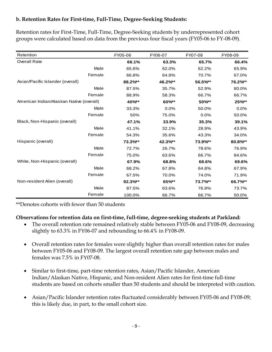# **b. Retention Rates for First-time, Full-Time, Degree-Seeking Students:**

Retention rates for First-Time, Full-Time, Degree-Seeking students by underrepresented cohort groups were calculated based on data from the previous four fiscal years (FY05-06 to FY-08-09).

| Retention                                | FY05-06 | FY06-07 | FY07-08 | FY08-09 |
|------------------------------------------|---------|---------|---------|---------|
| <b>Overall Rate</b>                      | 66.1%   | 63.3%   | 65.7%   | 66.4%   |
| Male                                     | 65.6%   | 62.0%   | 62.2%   | 65.9%   |
| Female                                   | 66.8%   | 64.8%   | 70.7%   | 67.0%   |
| Asian/Pacific Islander (overall)         | 88.2%** | 46.2%** | 56.5%** | 76.2%** |
| Male                                     | 87.5%   | 35.7%   | 52.9%   | 80.0%   |
| Female                                   | 88.9%   | 58.3%   | 66.7%   | 66.7%   |
| American Indian/Alaskan Native (overall) | 40%**   | 60%**   | 50%**   | 25%**   |
| Male                                     | 33.3%   | 0.0%    | 50.0%   | 0.0%    |
| Female                                   | 50%     | 75.0%   | 0.0%    | 50.0%   |
| Black, Non-Hispanic (overall)            | 47.1%   | 33.9%   | 35.3%   | 39.1%   |
| Male                                     | 41.1%   | 32.1%   | 28.9%   | 43.9%   |
| Female                                   | 54.3%   | 35.6%   | 43.3%   | 34.0%   |
| Hispanic (overall)                       | 73.3%** | 42.3%** | 73.9%** | 80.8%** |
| Male                                     | 72.7%   | 26.7%   | 78.6%   | 76.9%   |
| Female                                   | 75.0%   | 63.6%   | 66.7%   | 84.6%   |
| White, Non-Hispanic (overall)            | 67.9%   | 68.8%   | 68.6%   | 69.6%   |
| Male                                     | 68.2%   | 67.8%   | 64.8%   | 67.9%   |
| Female                                   | 67.5%   | 70.0%   | 74.0%   | 71.9%   |
| Non-resident Alien (overall)             | 92.3%** | 65%**   | 73.7%** | 66.7%** |
| Male                                     | 87.5%   | 63.6%   | 76.9%   | 73.7%   |
| Female                                   | 100.0%  | 66.7%   | 66.7%   | 50.0%   |

\*\*Denotes cohorts with fewer than 50 students

### **Observations for retention data on first-time, full-time, degree-seeking students at Parkland:**

- The overall retention rate remained relatively stable between FY05-06 and FY08-09, decreasing slightly to 63.3% in FY06-07 and rebounding to 66.4% in FY08-09.
- Overall retention rates for females were slightly higher than overall retention rates for males between FY05-06 and FY08-09. The largest overall retention rate gap between males and females was 7.5% in FY07-08.
- Similar to first-time, part-time retention rates, Asian/Pacific Islander, American Indian/Alaskan Native, Hispanic, and Non-resident Alien rates for first-time full-time students are based on cohorts smaller than 50 students and should be interpreted with caution.
- Asian/Pacific Islander retention rates fluctuated considerably between FY05-06 and FY08-09; this is likely due, in part, to the small cohort size.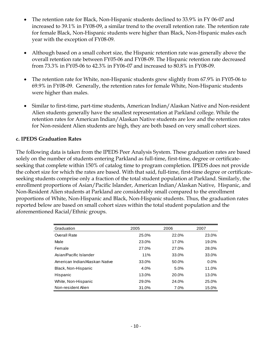- The retention rate for Black, Non-Hispanic students declined to 33.9% in FY 06-07 and increased to 39.1% in FY08-09, a similar trend to the overall retention rate. The retention rate for female Black, Non-Hispanic students were higher than Black, Non-Hispanic males each year with the exception of FY08-09.
- Although based on a small cohort size, the Hispanic retention rate was generally above the overall retention rate between FY05-06 and FY08-09. The Hispanic retention rate decreased from 73.3% in FY05-06 to 42.3% in FY06-07 and increased to 80.8% in FY08-09.
- The retention rate for White, non-Hispanic students grew slightly from 67.9% in FY05-06 to 69.9% in FY08-09. Generally, the retention rates for female White, Non-Hispanic students were higher than males.
- Similar to first-time, part-time students, American Indian/Alaskan Native and Non-resident Alien students generally have the smallest representation at Parkland college. While the retention rates for American Indian/Alaskan Native students are low and the retention rates for Non-resident Alien students are high, they are both based on very small cohort sizes.

### **c. IPEDS Graduation Rates**

The following data is taken from the IPEDS Peer Analysis System. These graduation rates are based solely on the number of students entering Parkland as full-time, first-time, degree or certificateseeking that complete within 150% of catalog time to program completion. IPEDS does not provide the cohort size for which the rates are based. With that said, full-time, first-time degree or certificateseeking students comprise only a fraction of the total student population at Parkland. Similarly, the enrollment proportions of Asian/Pacific Islander, American Indian/Alaskan Native, Hispanic, and Non-Resident Alien students at Parkland are considerably small compared to the enrollment proportions of White, Non-Hispanic and Black, Non-Hispanic students. Thus, the graduation rates reported below are based on small cohort sizes within the total student population and the aforementioned Racial/Ethnic groups.

| Graduation                     | 2005  | 2006  | 2007  |
|--------------------------------|-------|-------|-------|
| <b>Overall Rate</b>            | 25.0% | 22.0% | 23.0% |
| Male                           | 23.0% | 17.0% | 19.0% |
| Female                         | 27.0% | 27.0% | 28.0% |
| Asian/Pacific Islander         | 11%   | 33.0% | 33.0% |
| American Indian/Alaskan Native | 33.0% | 50.0% | 0.0%  |
| Black, Non-Hispanic            | 4.0%  | 5.0%  | 11.0% |
| Hispanic                       | 13.0% | 20.0% | 13.0% |
| White, Non-Hispanic            | 29.0% | 24.0% | 25.0% |
| Non-resident Alien             | 31.0% | 7.0%  | 15.0% |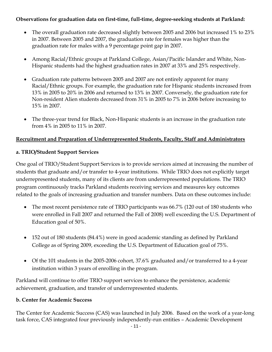# **Observations for graduation data on first-time, full-time, degree-seeking students at Parkland:**

- The overall graduation rate decreased slightly between 2005 and 2006 but increased 1% to 23% in 2007. Between 2005 and 2007, the graduation rate for females was higher than the graduation rate for males with a 9 percentage point gap in 2007.
- Among Racial/Ethnic groups at Parkland College, Asian/Pacific Islander and White, Non-Hispanic students had the highest graduation rates in 2007 at 33% and 25% respectively.
- Graduation rate patterns between 2005 and 2007 are not entirely apparent for many Racial/Ethnic groups. For example, the graduation rate for Hispanic students increased from 13% in 2005 to 20% in 2006 and returned to 13% in 2007. Conversely, the graduation rate for Non-resident Alien students decreased from 31% in 2005 to 7% in 2006 before increasing to 15% in 2007.
- The three-year trend for Black, Non-Hispanic students is an increase in the graduation rate from 4% in 2005 to 11% in 2007.

# **Recruitment and Preparation of Underrepresented Students, Faculty, Staff and Administrators**

# **a. TRIO/Student Support Services**

One goal of TRIO/Student Support Services is to provide services aimed at increasing the number of students that graduate and/or transfer to 4-year institutions. While TRIO does not explicitly target underrepresented students, many of its clients are from underrepresented populations. The TRIO program continuously tracks Parkland students receiving services and measures key outcomes related to the goals of increasing graduation and transfer numbers. Data on these outcomes include:

- The most recent persistence rate of TRIO participants was 66.7% (120 out of 180 students who were enrolled in Fall 2007 and returned the Fall of 2008) well exceeding the U.S. Department of Education goal of 50%.
- 152 out of 180 students (84.4%) were in good academic standing as defined by Parkland College as of Spring 2009, exceeding the U.S. Department of Education goal of 75%.
- Of the 101 students in the 2005-2006 cohort, 37.6% graduated and/or transferred to a 4-year institution within 3 years of enrolling in the program.

Parkland will continue to offer TRIO support services to enhance the persistence, academic achievement, graduation, and transfer of underrepresented students.

### **b. Center for Academic Success**

The Center for Academic Success (CAS) was launched in July 2006. Based on the work of a year-long task force, CAS integrated four previously independently-run entities – Academic Development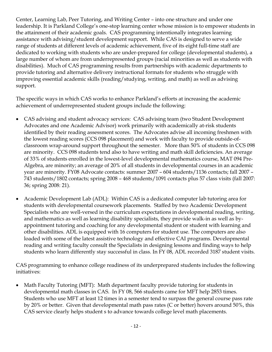Center, Learning Lab, Peer Tutoring, and Writing Center – into one structure and under one leadership. It is Parkland College's one-stop learning center whose mission is to empower students in the attainment of their academic goals. CAS programming intentionally integrates learning assistance with advising/student development support. While CAS is designed to serve a wide range of students at different levels of academic achievement, five of its eight full-time staff are dedicated to working with students who are under-prepared for college (developmental students), a large number of whom are from underrepresented groups (racial minorities as well as students with disabilities). Much of CAS programming results from partnerships with academic departments to provide tutoring and alternative delivery instructional formats for students who struggle with improving essential academic skills (reading/studying, writing, and math) as well as advising support.

The specific ways in which CAS works to enhance Parkland's efforts at increasing the academic achievement of underrepresented student groups include the following:

- CAS advising and student advocacy services: CAS advising team (two Student Development Advocates and one Academic Advisor) work primarily with academically at-risk students identified by their reading assessment scores. The Advocates advise all incoming freshmen with the lowest reading scores (CCS 098 placement) and work with faculty to provide outside-ofclassroom wrap-around support throughout the semester. More than 50% of students in CCS 098 are minority. CCS 098 students tend also to have writing and math skill deficiencies. An average of 33% of students enrolled in the lowest-level developmental mathematics course, MAT 094 Pre-Algebra, are minority; an average of 20% of all students in developmental courses in an academic year are minority. FY08 Advocate contacts: summer 2007 – 604 students/1136 contacts; fall 2007 – 743 students/1802 contacts; spring 2008 – 468 students/1091 contacts plus 57 class visits (fall 2007: 36; spring 2008: 21).
- Academic Development Lab (ADL): Within CAS is a dedicated computer lab tutoring area for students with developmental coursework placements. Staffed by two Academic Development Specialists who are well-versed in the curriculum expectations in developmental reading, writing, and mathematics as well as learning disability specialists, they provide walk-in as well as byappointment tutoring and coaching for any developmental student or student with learning and other disabilities. ADL is equipped with 16 computers for student use. The computers are also loaded with some of the latest assistive technology and effective CAI programs. Developmental reading and writing faculty consult the Specialists in designing lessons and finding ways to help students who learn differently stay successful in class. In FY 08, ADL recorded 3187 student visits.

CAS programming to enhance college readiness of its underprepared students includes the following initiatives:

• Math Faculty Tutoring (MFT): Math department faculty provide tutoring for students in developmental math classes in CAS. In FY 08, 566 students came for MFT help 2853 times. Students who use MFT at least 12 times in a semester tend to surpass the general course pass rate by 20% or better. Given that developmental math pass rates (C or better) hovers around 50%, this CAS service clearly helps student s to advance towards college level math placements.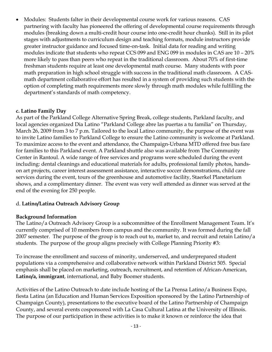• Modules: Students falter in their developmental course work for various reasons. CAS partnering with faculty has pioneered the offering of developmental course requirements through modules (breaking down a multi-credit hour course into one-credit hour chunks). Still in its pilot stages with adjustments to curriculum design and teaching formats, module instructors provide greater instructor guidance and focused time-on-task. Initial data for reading and writing modules indicate that students who repeat CCS 099 and ENG 099 in modules in CAS are 10 – 20% more likely to pass than peers who repeat in the traditional classroom. About 70% of first-time freshman students require at least one developmental math course. Many students with poor math preparation in high school struggle with success in the traditional math classroom. A CASmath department collaborative effort has resulted in a system of providing such students with the option of completing math requirements more slowly through math modules while fulfilling the department's standards of math competency.

### **c. Latino Family Day**

As part of the Parkland College Alternative Spring Break, college students, Parkland faculty, and local agencies organized Dia Latino "Parkland College abre las puertas a tu familia" on Thursday, March 26, 2009 from 3 to 7 p.m. Tailored to the local Latino community, the purpose of the event was to invite Latino families to Parkland College to ensure the Latino community is welcome at Parkland. To maximize access to the event and attendance, the Champaign-Urbana MTD offered free bus fare for families to this Parkland event. A Parkland shuttle also was available from The Community Center in Rantoul. A wide range of free services and programs were scheduled during the event including: dental cleanings and educational materials for adults, professional family photos, handson art projects, career interest assessment assistance, interactive soccer demonstrations, child care services during the event, tours of the greenhouse and automotive facility, Staerkel Planetarium shows, and a complimentary dinner. The event was very well attended as dinner was served at the end of the evening for 250 people.

# d. **Latino/Latina Outreach Advisory Group**

### **Background Information**

The Latino/a Outreach Advisory Group is a subcommittee of the Enrollment Management Team. It's currently comprised of 10 members from campus and the community. It was formed during the fall 2007 semester. The purpose of the group is to reach out to, market to, and recruit and retain Latino/a students. The purpose of the group aligns precisely with College Planning Priority #3:

To increase the enrollment and success of minority, underserved, and underprepared student populations via a comprehensive and collaborative network within Parkland District 505. Special emphasis shall be placed on marketing, outreach, recruitment, and retention of African-American, **Latino/a, immigrant**, international, and Baby Boomer students.

Activities of the Latino Outreach to date include hosting of the La Prensa Latino/a Business Expo, fiesta Latina (an Education and Human Services Exposition sponsored by the Latino Partnership of Champaign County), presentations to the executive board of the Latino Partnership of Champaign County, and several events cosponsored with La Casa Cultural Latina at the University of Illinois. The purpose of our participation in these activities is to make it known or reinforce the idea that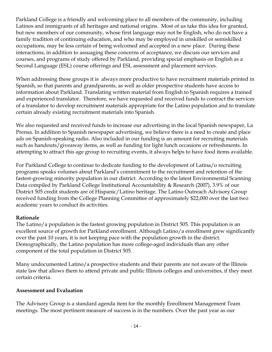Parkland College is a friendly and welcoming place to all members of the community, including Latinos and immigrants of all heritages and national origins. Most of us take this idea for granted, but new members of our community, whose first language may not be English, who do not have a family tradition of continuing education, and who may be employed in unskilled or semiskilled occupations, may be less certain of being welcomed and accepted in a new place. During these interactions, in addition to assuaging these concerns of acceptance, we discuss our services and courses, and programs of study offered by Parkland, providing special emphasis on English as a Second Language (ESL) course offerings and ESL assessment and placement services.

When addressing these groups it is always more productive to have recruitment materials printed in Spanish, so that parents and grandparents, as well as older prospective students have access to information about Parkland. Translating written material from English to Spanish requires a trained and experienced translator. Therefore, we have requested and received funds to contract the services of a translator to develop recruitment materials appropriate for the Latino population and to translate certain already existing recruitment materials into Spanish.

We also requested and received funds to increase our advertising in the local Spanish newspaper, La Prensa. In addition to Spanish newspaper advertising, we believe there is a need to create and place ads on Spanish-speaking radio. Also included in our funding is an amount for recruiting materials such as handouts/giveaway items, as well as funding for light lunch occasions or refreshments. In attempting to attract this age group to recruiting events, it always helps to have food items available.

For Parkland College to continue to dedicate funding to the development of Latina/o recruiting programs speaks volumes about Parkland's commitment to the recruitment and retention of the fastest-growing minority population in our district. According to the latest Environmental Scanning Data compiled by Parkland College Institutional Accountability & Research (2007), 3.9% of our District 505 credit students are of Hispanic/Latino heritage. The Latino Outreach Advisory Group received funding from the College Planning Committee of approximately \$22,000 over the last two academic years to conduct its activities.

# **Rationale**

The Latino/a population is the fastest growing population in District 505. This population is an excellent source of growth for Parkland enrollment. Although Latino/a enrollment grew significantly over the past 10 years, it is not keeping pace with the population growth in the district. Demographically, the Latino population has more college-aged individuals than any other component of the total population in District 505.

Many undocumented Latino/a prospective students and their parents are not aware of the Illinois state law that allows them to attend private and public Illinois colleges and universities, if they meet certain criteria.

### **Assessment and Evaluation**

The Advisory Group is a standard agenda item for the monthly Enrollment Management Team meetings. The most pertinent measure of success is in the numbers. Over the past year as our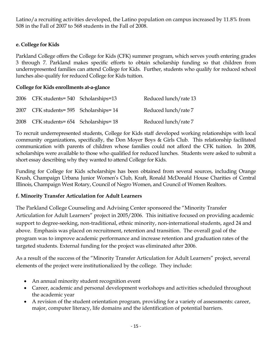Latino/a recruiting activities developed, the Latino population on campus increased by 11.8% from 508 in the Fall of 2007 to 568 students in the Fall of 2008.

## **e. College for Kids**

Parkland College offers the College for Kids (CFK) summer program, which serves youth entering grades 3 through 7. Parkland makes specific efforts to obtain scholarship funding so that children from underrepresented families can attend College for Kids. Further, students who qualify for reduced school lunches also qualify for reduced College for Kids tuition.

### **College for Kids enrollments at-a-glance**

| 2006 CFK students=540 Scholarships=13   | Reduced lunch/rate 13 |
|-----------------------------------------|-----------------------|
| 2007 CFK students=595 Scholarships=14   | Reduced lunch/rate 7  |
| 2008 CFK students= 654 Scholarships= 18 | Reduced lunch/rate 7  |

To recruit underrepresented students, College for Kids staff developed working relationships with local community organizations, specifically, the Don Moyer Boys & Girls Club. This relationship facilitated communication with parents of children whose families could not afford the CFK tuition. In 2008, scholarships were available to those who qualified for reduced lunches. Students were asked to submit a short essay describing why they wanted to attend College for Kids.

Funding for College for Kids scholarships has been obtained from several sources, including Orange Krush, Champaign Urbana Junior Women's Club, Kraft, Ronald McDonald House Charities of Central Illinois, Champaign West Rotary, Council of Negro Women, and Council of Women Realtors.

# **f. Minority Transfer Articulation for Adult Learners**

The Parkland College Counseling and Advising Center sponsored the "Minority Transfer Articulation for Adult Learners" project in 2005/2006. This initiative focused on providing academic support to degree-seeking, non-traditional, ethnic minority, non-international students, aged 24 and above. Emphasis was placed on recruitment, retention and transition. The overall goal of the program was to improve academic performance and increase retention and graduation rates of the targeted students. External funding for the project was eliminated after 2006.

As a result of the success of the "Minority Transfer Articulation for Adult Learners" project, several elements of the project were institutionalized by the college. They include:

- An annual minority student recognition event
- Career, academic and personal development workshops and activities scheduled throughout the academic year
- A revision of the student orientation program, providing for a variety of assessments: career, major, computer literacy, life domains and the identification of potential barriers.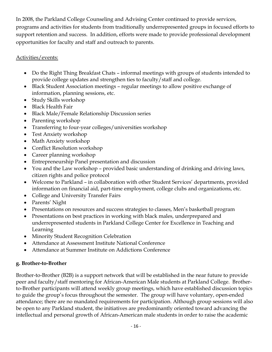In 2008, the Parkland College Counseling and Advising Center continued to provide services, programs and activities for students from traditionally underrepresented groups in focused efforts to support retention and success. In addition, efforts were made to provide professional development opportunities for faculty and staff and outreach to parents.

# Activities/events:

- Do the Right Thing Breakfast Chats informal meetings with groups of students intended to provide college updates and strengthen ties to faculty/staff and college.
- Black Student Association meetings regular meetings to allow positive exchange of information, planning sessions, etc.
- Study Skills workshop
- Black Health Fair
- Black Male/Female Relationship Discussion series
- Parenting workshop
- Transferring to four-year colleges/universities workshop
- Test Anxiety workshop
- Math Anxiety workshop
- Conflict Resolution workshop
- Career planning workshop
- Entrepreneurship Panel presentation and discussion
- You and the Law workshop provided basic understanding of drinking and driving laws, citizen rights and police protocol
- Welcome to Parkland in collaboration with other Student Services' departments, provided information on financial aid, part-time employment, college clubs and organizations, etc.
- College and University Transfer Fairs
- Parents' Night
- Presentations on resources and success strategies to classes, Men's basketball program
- Presentations on best practices in working with black males, underprepared and underrepresented students in Parkland College Center for Excellence in Teaching and Learning
- Minority Student Recognition Celebration
- Attendance at Assessment Institute National Conference
- Attendance at Summer Institute on Addictions Conference

# **g. Brother-to-Brother**

Brother-to-Brother (B2B) is a support network that will be established in the near future to provide peer and faculty/staff mentoring for African-American Male students at Parkland College. Brotherto-Brother participants will attend weekly group meetings, which have established discussion topics to guide the group's focus throughout the semester. The group will have voluntary, open-ended attendance; there are no mandated requirements for participation. Although group sessions will also be open to any Parkland student, the initiatives are predominantly oriented toward advancing the intellectual and personal growth of African-American male students in order to raise the academic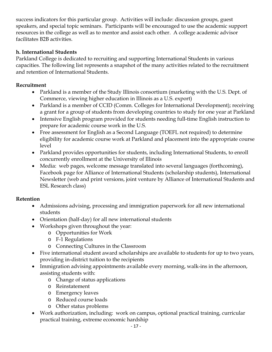success indicators for this particular group. Activities will include: discussion groups, guest speakers, and special topic seminars. Participants will be encouraged to use the academic support resources in the college as well as to mentor and assist each other. A college academic advisor facilitates B2B activities.

# **h. International Students**

Parkland College is dedicated to recruiting and supporting International Students in various capacities. The following list represents a snapshot of the many activities related to the recruitment and retention of International Students.

# **Recruitment**

- Parkland is a member of the Study Illinois consortium (marketing with the U.S. Dept. of Commerce, viewing higher education in Illinois as a U.S. export)
- Parkland is a member of CCID (Comm. Colleges for International Development); receiving a grant for a group of students from developing countries to study for one year at Parkland
- Intensive English program provided for students needing full-time English instruction to prepare for academic course work in the U.S.
- Free assessment for English as a Second Language (TOEFL not required) to determine eligibility for academic course work at Parkland and placement into the appropriate course level
- Parkland provides opportunities for students, including International Students, to enroll concurrently enrollment at the University of Illinois
- Media: web pages, welcome message translated into several languages (forthcoming), Facebook page for Alliance of International Students (scholarship students), International Newsletter (web and print versions, joint venture by Alliance of International Students and ESL Research class)

### **Retention**

- Admissions advising, processing and immigration paperwork for all new international students
- Orientation (half-day) for all new international students
- Workshops given throughout the year:
	- o Opportunities for Work
	- o F-1 Regulations
	- o Connecting Cultures in the Classroom
- Five international student award scholarships are available to students for up to two years, providing in-district tuition to the recipients
- Immigration advising appointments available every morning, walk-ins in the afternoon, assisting students with:
	- o Change of status applications
	- o Reinstatement
	- o Emergency leaves
	- o Reduced course loads
	- o Other status problems
- Work authorization, including: work on campus, optional practical training, curricular practical training, extreme economic hardship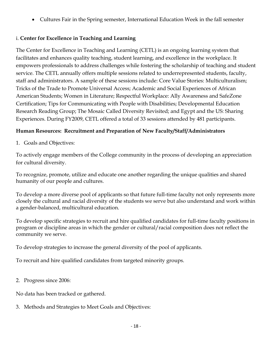• Cultures Fair in the Spring semester, International Education Week in the fall semester

# i. **Center for Excellence in Teaching and Learning**

The Center for Excellence in Teaching and Learning (CETL) is an ongoing learning system that facilitates and enhances quality teaching, student learning, and excellence in the workplace. It empowers professionals to address challenges while fostering the scholarship of teaching and student service. The CETL annually offers multiple sessions related to underrepresented students, faculty, staff and administrators. A sample of these sessions include: Core Value Stories: Multiculturalism; Tricks of the Trade to Promote Universal Access; Academic and Social Experiences of African American Students; Women in Literature; Respectful Workplace: Ally Awareness and SafeZone Certification; Tips for Communicating with People with Disabilities; Developmental Education Research Reading Group; The Mosaic Called Diversity Revisited; and Egypt and the US: Sharing Experiences. During FY2009, CETL offered a total of 33 sessions attended by 481 participants.

# **Human Resources: Recruitment and Preparation of New Faculty/Staff/Administrators**

1. Goals and Objectives:

To actively engage members of the College community in the process of developing an appreciation for cultural diversity.

To recognize, promote, utilize and educate one another regarding the unique qualities and shared humanity of our people and cultures.

To develop a more diverse pool of applicants so that future full-time faculty not only represents more closely the cultural and racial diversity of the students we serve but also understand and work within a gender-balanced, multicultural education.

To develop specific strategies to recruit and hire qualified candidates for full-time faculty positions in program or discipline areas in which the gender or cultural/racial composition does not reflect the community we serve.

To develop strategies to increase the general diversity of the pool of applicants.

To recruit and hire qualified candidates from targeted minority groups.

2. Progress since 2006:

No data has been tracked or gathered.

3. Methods and Strategies to Meet Goals and Objectives: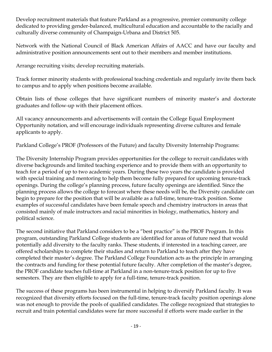Develop recruitment materials that feature Parkland as a progressive, premier community college dedicated to providing gender-balanced, multicultural education and accountable to the racially and culturally diverse community of Champaign-Urbana and District 505.

Network with the National Council of Black American Affairs of AACC and have our faculty and administrative position announcements sent out to their members and member institutions.

Arrange recruiting visits; develop recruiting materials.

Track former minority students with professional teaching credentials and regularly invite them back to campus and to apply when positions become available.

Obtain lists of those colleges that have significant numbers of minority master's and doctorate graduates and follow-up with their placement offices.

All vacancy announcements and advertisements will contain the College Equal Employment Opportunity notation, and will encourage individuals representing diverse cultures and female applicants to apply.

Parkland College's PROF (Professors of the Future) and faculty Diversity Internship Programs:

The Diversity Internship Program provides opportunities for the college to recruit candidates with diverse backgrounds and limited teaching experience and to provide them with an opportunity to teach for a period of up to two academic years. During these two years the candidate is provided with special training and mentoring to help them become fully prepared for upcoming tenure-track openings. During the college's planning process, future faculty openings are identified. Since the planning process allows the college to forecast where these needs will be, the Diversity candidate can begin to prepare for the position that will be available as a full-time, tenure-track position. Some examples of successful candidates have been female speech and chemistry instructors in areas that consisted mainly of male instructors and racial minorities in biology, mathematics, history and political science.

The second initiative that Parkland considers to be a "best practice" is the PROF Program. In this program, outstanding Parkland College students are identified for areas of future need that would potentially add diversity to the faculty ranks. These students, if interested in a teaching career, are offered scholarships to complete their studies and return to Parkland to teach after they have completed their master's degree. The Parkland College Foundation acts as the principle in arranging the contracts and funding for these potential future faculty. After completion of the master's degree, the PROF candidate teaches full-time at Parkland in a non-tenure-track position for up to five semesters. They are then eligible to apply for a full-time, tenure-track position.

The success of these programs has been instrumental in helping to diversify Parkland faculty. It was recognized that diversity efforts focused on the full-time, tenure-track faculty position openings alone was not enough to provide the pools of qualified candidates. The college recognized that strategies to recruit and train potential candidates were far more successful if efforts were made earlier in the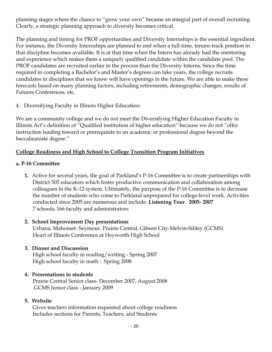planning stages where the chance to "grow your own" became an integral part of overall recruiting. Clearly, a strategic planning approach to diversity becomes critical.

The planning and timing for PROF opportunities and Diversity Internships is the essential ingredient. For instance, the Diversity Internships are planned to end when a full-time, tenure-track position in that discipline becomes available. It is at that time when the Intern has already had the mentoring and experience which makes them a uniquely qualified candidate within the candidate pool. The PROF candidates are recruited earlier in the process than the Diversity Interns. Since the time required in completing a Bachelor's and Master's degrees can take years, the college recruits candidates in disciplines that we know will have openings in the future. We are able to make these forecasts based on many planning factors, including retirements, demographic changes, results of Futures Conferences, etc.

4. Diversifying Faculty in Illinois Higher Education:

We are a community college and we do not meet the Diversifying Higher Education Faculty in Illinois Act's definition of "Qualified institution of higher education" because we do not "offer instruction leading toward or prerequisite to an academic or professional degree beyond the baccalaureate degree."

# **College Readiness and High School to College Transition Program Initiatives**

### **a. P-16 Committee**

**1.** Active for several years, the goal of Parkland's P-16 Committee is to create partnerships with District 505 educators which foster productive communication and collaboration among colleagues in the K-12 system. Ultimately, the purpose of the P-16 Committee is to decrease the number of students who come to Parkland unprepared for college-level work. Activities conducted since 2005 are numerous and include: **Listening Tour 2005- 2007** 7 schools, 166 faculty and administrators

### **2. School Improvement Day presentations**

Urbana, Mahomet- Seymour, Prairie Central, Gibson City-Melvin-Sibley (GCMS) Heart of Illinois Conference at Heyworth High School

# **3. Dinner and Discussion**

High school faculty in reading/writing - Spring 2007 High school faculty in math - Spring 2008

### **4. Presentations to students**

Prairie Central Senior class- December 2007, August 2008 GCMS Junior class - January 2009

# **5. Website**

Gives teachers information requested about college readiness Includes sections for Parents, Teachers, and Students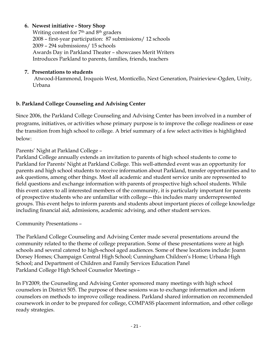# **6. Newest initiative - Story Shop**

Writing contest for 7<sup>th</sup> and 8<sup>th</sup> graders 2008 – first-year participation: 87 submissions/ 12 schools 2009 – 294 submissions/ 15 schools Awards Day in Parkland Theater – showcases Merit Writers Introduces Parkland to parents, families, friends, teachers

# **7. Presentations to students**

Atwood-Hammond, Iroquois West, Monticello, Next Generation, Prairieview-Ogden, Unity, Urbana

# **b. Parkland College Counseling and Advising Center**

Since 2006, the Parkland College Counseling and Advising Center has been involved in a number of programs, initiatives, or activities whose primary purpose is to improve the college readiness or ease the transition from high school to college. A brief summary of a few select activities is highlighted below:

# Parents' Night at Parkland College –

Parkland College annually extends an invitation to parents of high school students to come to Parkland for Parents' Night at Parkland College. This well-attended event was an opportunity for parents and high school students to receive information about Parkland, transfer opportunities and to ask questions, among other things. Most all academic and student service units are represented to field questions and exchange information with parents of prospective high school students. While this event caters to all interested members of the community, it is particularly important for parents of prospective students who are unfamiliar with college—this includes many underrepresented groups. This event helps to inform parents and students about important pieces of college knowledge including financial aid, admissions, academic advising, and other student services.

Community Presentations –

The Parkland College Counseling and Advising Center made several presentations around the community related to the theme of college preparation. Some of these presentations were at high schools and several catered to high-school aged audiences. Some of these locations include: Joann Dorsey Homes; Champaign Central High School; Cunningham Children's Home; Urbana High School; and Department of Children and Family Services Education Panel Parkland College High School Counselor Meetings –

In FY2009, the Counseling and Advising Center sponsored many meetings with high school counselors in District 505. The purpose of these sessions was to exchange information and inform counselors on methods to improve college readiness. Parkland shared information on recommended coursework in order to be prepared for college, COMPASS placement information, and other college ready strategies.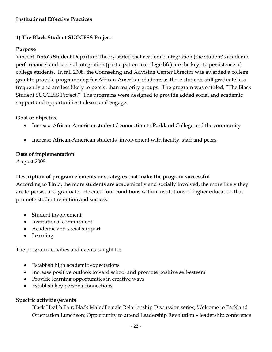# **Institutional Effective Practices**

# **1) The Black Student SUCCESS Project**

# **Purpose**

Vincent Tinto's Student Departure Theory stated that academic integration (the student's academic performance) and societal integration (participation in college life) are the keys to persistence of college students. In fall 2008, the Counseling and Advising Center Director was awarded a college grant to provide programming for African-American students as these students still graduate less frequently and are less likely to persist than majority groups. The program was entitled, "The Black Student SUCCESS Project." The programs were designed to provide added social and academic support and opportunities to learn and engage.

# **Goal or objective**

- Increase African-American students' connection to Parkland College and the community
- Increase African-American students' involvement with faculty, staff and peers.

# **Date of implementation**

August 2008

# **Description of program elements or strategies that make the program successful**

According to Tinto, the more students are academically and socially involved, the more likely they are to persist and graduate. He cited four conditions within institutions of higher education that promote student retention and success:

- Student involvement
- Institutional commitment
- Academic and social support
- Learning

The program activities and events sought to:

- Establish high academic expectations
- Increase positive outlook toward school and promote positive self-esteem
- Provide learning opportunities in creative ways
- Establish key persona connections

# **Specific activities/events**

Black Health Fair; Black Male/Female Relationship Discussion series; Welcome to Parkland Orientation Luncheon; Opportunity to attend Leadership Revolution – leadership conference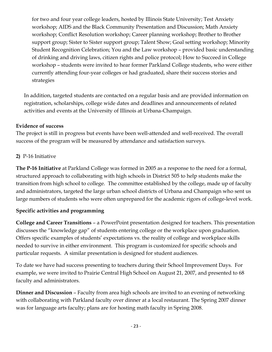for two and four year college leaders, hosted by Illinois State University; Test Anxiety workshop; AIDS and the Black Community Presentation and Discussion; Math Anxiety workshop; Conflict Resolution workshop; Career planning workshop; Brother to Brother support group; Sister to Sister support group; Talent Show; Goal setting workshop; Minority Student Recognition Celebration; You and the Law workshop – provided basic understanding of drinking and driving laws, citizen rights and police protocol; How to Succeed in College workshop – students were invited to hear former Parkland College students, who were either currently attending four-year colleges or had graduated, share their success stories and strategies

In addition, targeted students are contacted on a regular basis and are provided information on registration, scholarships, college wide dates and deadlines and announcements of related activities and events at the University of Illinois at Urbana-Champaign.

# **Evidence of success**

The project is still in progress but events have been well-attended and well-received. The overall success of the program will be measured by attendance and satisfaction surveys.

# **2)** P-16 Initiative

**The P-16 Initiative** at Parkland College was formed in 2005 as a response to the need for a formal, structured approach to collaborating with high schools in District 505 to help students make the transition from high school to college. The committee established by the college, made up of faculty and administrators, targeted the large urban school districts of Urbana and Champaign who sent us large numbers of students who were often unprepared for the academic rigors of college-level work.

# **Specific activities and programming**

**College and Career Transitions** – a PowerPoint presentation designed for teachers. This presentation discusses the "knowledge gap" of students entering college or the workplace upon graduation. Offers specific examples of students' expectations vs. the reality of college and workplace skills needed to survive in either environment. This program is customized for specific schools and particular requests. A similar presentation is designed for student audiences.

To date we have had success presenting to teachers during their School Improvement Days. For example, we were invited to Prairie Central High School on August 21, 2007, and presented to 68 faculty and administrators.

**Dinner and Discussion** – Faculty from area high schools are invited to an evening of networking with collaborating with Parkland faculty over dinner at a local restaurant. The Spring 2007 dinner was for language arts faculty; plans are for hosting math faculty in Spring 2008.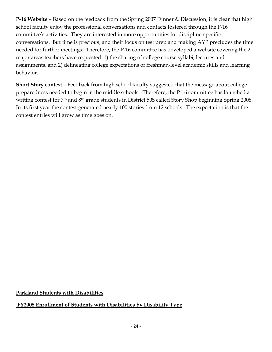**P-16 Website** – Based on the feedback from the Spring 2007 Dinner & Discussion, it is clear that high school faculty enjoy the professional conversations and contacts fostered through the P-16 committee's activities. They are interested in more opportunities for discipline-specific conversations. But time is precious, and their focus on test prep and making AYP precludes the time needed for further meetings. Therefore, the P-16 committee has developed a website covering the 2 major areas teachers have requested: 1) the sharing of college course syllabi, lectures and assignments, and 2) delineating college expectations of freshman-level academic skills and learning behavior.

**Short Story contest** – Feedback from high school faculty suggested that the message about college preparedness needed to begin in the middle schools. Therefore, the P-16 committee has launched a writing contest for 7<sup>th</sup> and 8<sup>th</sup> grade students in District 505 called Story Shop beginning Spring 2008. In its first year the contest generated nearly 100 stories from 12 schools. The expectation is that the contest entries will grow as time goes on.

**Parkland Students with Disabilities**

**FY2008 Enrollment of Students with Disabilities by Disability Type**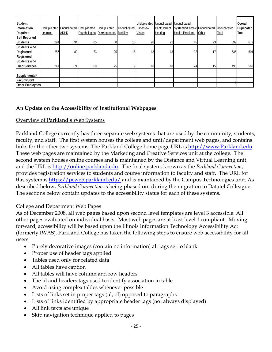| Student<br><b>Information</b><br>Required                       | Learning | Unduplicated Unduplicated Unduplicated<br>ADHD |    | Unduplicated<br>Psychological Developmental | Unduplicated<br>Mobility | Unduplicated<br><b>Blind/Low</b><br>Vision | Unduplicated<br>Deaf/Hard of<br>Hearing | Unduplicated<br>Systemic/Chronic Unduplicated Unduplicated<br><b>Health Problems</b> | Other | Total | <b>Overall</b><br><b>Duplicated</b><br>Total |
|-----------------------------------------------------------------|----------|------------------------------------------------|----|---------------------------------------------|--------------------------|--------------------------------------------|-----------------------------------------|--------------------------------------------------------------------------------------|-------|-------|----------------------------------------------|
| <b>Self Reported</b><br>Students                                | 294      | 94                                             | 85 |                                             | 16                       | 20                                         | 22                                      | 45                                                                                   | 23    | 599   | 672                                          |
| Students Who<br>Registered                                      | 257      | 80                                             | 73 | 25                                          | 15 <sub>l</sub>          | 18                                         | 18                                      | 32                                                                                   | 17    | 535   | 601                                          |
| Registered<br>Students Who<br><b>Used Services</b>              | 241      | 71                                             | 69 | 25                                          |                          | 18                                         | 18                                      | 24                                                                                   | 15    | 490   | 563                                          |
|                                                                 |          |                                                |    |                                             |                          |                                            |                                         |                                                                                      |       |       |                                              |
| Supplemental*<br><b>Faculty/Staff</b><br><b>Other Employees</b> |          |                                                |    |                                             |                          |                                            |                                         |                                                                                      |       |       |                                              |

# **An Update on the Accessibility of Institutional Webpages**

### Overview of Parkland's Web Systems

Parkland College currently has three separate web systems that are used by the community, students, faculty, and staff. The first system houses the college and unit/department web pages, and contains links for the other two systems. The Parkland College home page URL is [http://www.Parkland.edu.](http://www.parkland.edu/) These web pages are maintained by the Marketing and Creative Services unit at the college. The second system houses online courses and is maintained by the Distance and Virtual Learning unit, and the URL is [http://online.parkland.edu.](http://online.parkland.edu/) The final system, known as the *Parkland Connection*, provides registration services to students and course information to faculty and staff. The URL for this system is<https://pcweb.parkland.edu/> and is maintained by the Campus Technologies unit. As described below, *Parkland Connection* is being phased out during the migration to Datatel Colleague. The sections below contain updates to the accessibility status for each of these systems.

### College and Department Web Pages

As of December 2008, all web pages based upon second level templates are level 3 accessible. All other pages evaluated on individual basis. Most web pages are at least level 1 compliant. Moving forward, accessibility will be based upon the Illinois Information Technology Accessibility Act (formerly IWAS). Parkland College has taken the following steps to ensure web accessibility for all users:

- Purely decorative images (contain no information) alt tags set to blank
- Proper use of header tags applied
- Tables used only for related data
- All tables have caption
- All tables will have column and row headers
- The id and headers tags used to identify association in table
- Avoid using complex tables whenever possible
- Lists of links set in proper tags (ul, ol) opposed to paragraphs
- Lists of links identified by appropriate header tags (not always displayed)
- All link texts are unique
- Skip navigation technique applied to pages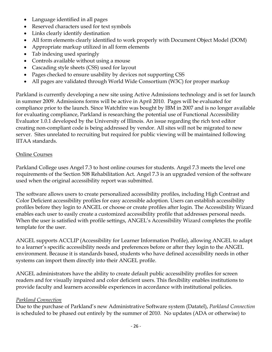- Language identified in all pages
- Reserved characters used for text symbols
- Links clearly identify destination
- All form elements clearly identified to work properly with Document Object Model (DOM)
- Appropriate markup utilized in all form elements
- Tab indexing used sparingly
- Controls available without using a mouse
- Cascading style sheets (CSS) used for layout
- Pages checked to ensure usability by devices not supporting CSS
- All pages are validated through World Wide Consortium (W3C) for proper markup

Parkland is currently developing a new site using Active Admissions technology and is set for launch in summer 2009. Admissions forms will be active in April 2010. Pages will be evaluated for compliance prior to the launch. Since Watchfire was bought by IBM in 2007 and is no longer available for evaluating compliance, Parkland is researching the potential use of Functional Accessibility Evaluator 1.0.1 developed by the University of Illinois. An issue regarding the rich text editor creating non-compliant code is being addressed by vendor. All sites will not be migrated to new server. Sites unrelated to recruiting but required for public viewing will be maintained following IITAA standards.

# Online Courses

Parkland College uses Angel 7.3 to host online courses for students. Angel 7.3 meets the level one requirements of the Section 508 Rehabilitation Act. Angel 7.3 is an upgraded version of the software used when the original accessibility report was submitted.

The software allows users to create personalized accessibility profiles, including High Contrast and Color Deficient accessibility profiles for easy accessible adoption. Users can establish accessibility profiles before they login to ANGEL or choose or create profiles after login. The Accessibility Wizard enables each user to easily create a customized accessibility profile that addresses personal needs. When the user is satisfied with profile settings, ANGEL's Accessibility Wizard completes the profile template for the user.

ANGEL supports ACCLIP (Accessibility for Learner Information Profile), allowing ANGEL to adapt to a learner's specific accessibility needs and preferences before or after they login to the ANGEL environment. Because it is standards based, students who have defined accessibility needs in other systems can import them directly into their ANGEL profile.

ANGEL administrators have the ability to create default public accessibility profiles for screen readers and for visually impaired and color deficient users. This flexibility enables institutions to provide faculty and learners accessible experiences in accordance with institutional policies.

# *Parkland Connection*

Due to the purchase of Parkland's new Administrative Software system (Datatel), *Parkland Connection* is scheduled to be phased out entirely by the summer of 2010. No updates (ADA or otherwise) to